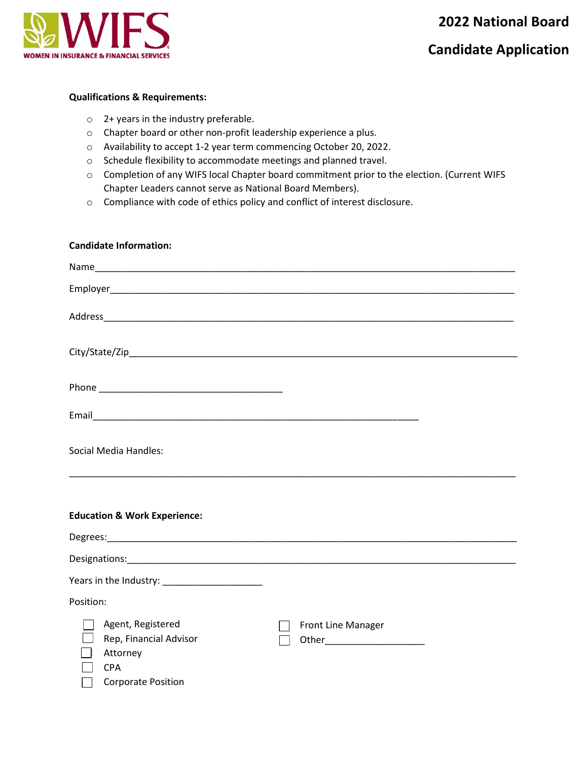

# **Candidate Application**

## **Qualifications & Requirements:**

- o 2+ years in the industry preferable.
- o Chapter board or other non-profit leadership experience a plus.
- o Availability to accept 1-2 year term commencing October 20, 2022.
- o Schedule flexibility to accommodate meetings and planned travel.
- o Completion of any WIFS local Chapter board commitment prior to the election. (Current WIFS Chapter Leaders cannot serve as National Board Members).
- o Compliance with code of ethics policy and conflict of interest disclosure.

### **Candidate Information:**

| Social Media Handles:                                                                              |                                                     |
|----------------------------------------------------------------------------------------------------|-----------------------------------------------------|
| <b>Education &amp; Work Experience:</b>                                                            |                                                     |
|                                                                                                    |                                                     |
|                                                                                                    |                                                     |
|                                                                                                    |                                                     |
| Years in the Industry: _______________________                                                     |                                                     |
| Position:                                                                                          |                                                     |
| Agent, Registered<br>Rep, Financial Advisor<br>Attorney<br><b>CPA</b><br><b>Corporate Position</b> | Front Line Manager<br>Other________________________ |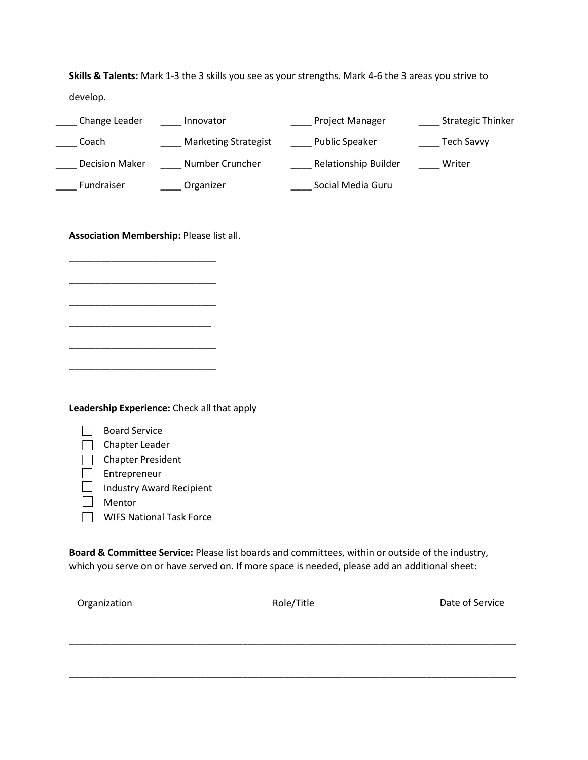**Skills & Talents:** Mark 1-3 the 3 skills you see as your strengths. Mark 4-6 the 3 areas you strive to develop.

| Change Leader         | Innovator                   | <b>Project Manager</b>      | <b>Strategic Thinker</b> |
|-----------------------|-----------------------------|-----------------------------|--------------------------|
| Coach                 | <b>Marketing Strategist</b> | <b>Public Speaker</b>       | Tech Savvy               |
| <b>Decision Maker</b> | Number Cruncher             | <b>Relationship Builder</b> | Writer                   |
| Fundraiser            | Organizer                   | Social Media Guru           |                          |

**Association Membership:** Please list all.

\_\_\_\_\_\_\_\_\_\_\_\_\_\_\_\_\_\_\_\_\_\_\_\_\_\_\_\_

\_\_\_\_\_\_\_\_\_\_\_\_\_\_\_\_\_\_\_\_\_\_\_\_\_\_\_\_

\_\_\_\_\_\_\_\_\_\_\_\_\_\_\_\_\_\_\_\_\_\_\_\_\_\_\_\_

\_\_\_\_\_\_\_\_\_\_\_\_\_\_\_\_\_\_\_\_\_\_\_\_\_\_\_

\_\_\_\_\_\_\_\_\_\_\_\_\_\_\_\_\_\_\_\_\_\_\_\_\_\_\_\_

\_\_\_\_\_\_\_\_\_\_\_\_\_\_\_\_\_\_\_\_\_\_\_\_\_\_\_\_

**Leadership Experience:** Check all that apply

| <b>Board Service</b>            |
|---------------------------------|
| Chapter Leader                  |
| <b>Chapter President</b>        |
| Entrepreneur                    |
| <b>Industry Award Recipient</b> |
| Mentor                          |
| <b>WIFS National Task Force</b> |
|                                 |

**Board & Committee Service:** Please list boards and committees, within or outside of the industry, which you serve on or have served on. If more space is needed, please add an additional sheet:

\_\_\_\_\_\_\_\_\_\_\_\_\_\_\_\_\_\_\_\_\_\_\_\_\_\_\_\_\_\_\_\_\_\_\_\_\_\_\_\_\_\_\_\_\_\_\_\_\_\_\_\_\_\_\_\_\_\_\_\_\_\_\_\_\_\_\_\_\_\_\_\_\_\_\_\_\_\_\_\_\_\_\_\_\_

\_\_\_\_\_\_\_\_\_\_\_\_\_\_\_\_\_\_\_\_\_\_\_\_\_\_\_\_\_\_\_\_\_\_\_\_\_\_\_\_\_\_\_\_\_\_\_\_\_\_\_\_\_\_\_\_\_\_\_\_\_\_\_\_\_\_\_\_\_\_\_\_\_\_\_\_\_\_\_\_\_\_\_\_\_

Organization **Contracts** Construction Role/Title **Construction** Date of Service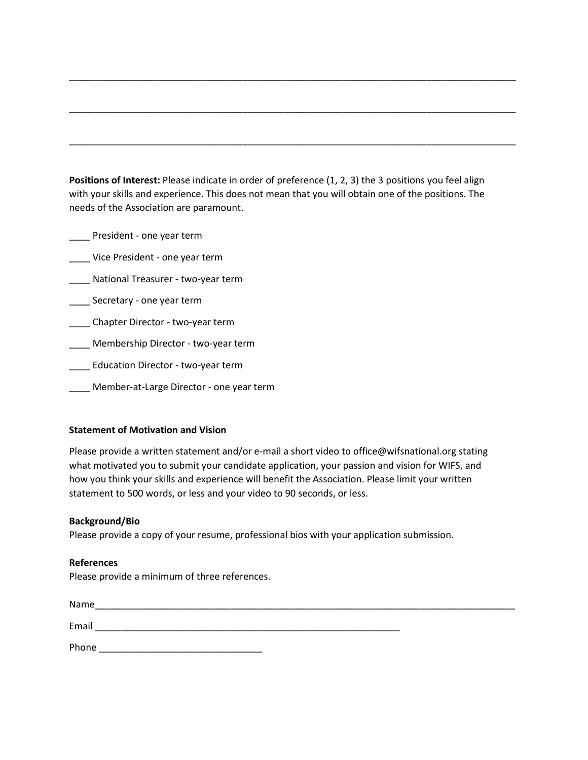Positions of Interest: Please indicate in order of preference (1, 2, 3) the 3 positions you feel align with your skills and experience. This does not mean that you will obtain one of the positions. The needs of the Association are paramount.

\_\_\_\_\_\_\_\_\_\_\_\_\_\_\_\_\_\_\_\_\_\_\_\_\_\_\_\_\_\_\_\_\_\_\_\_\_\_\_\_\_\_\_\_\_\_\_\_\_\_\_\_\_\_\_\_\_\_\_\_\_\_\_\_\_\_\_\_\_\_\_\_\_\_\_\_\_\_\_\_\_\_\_\_\_

\_\_\_\_\_\_\_\_\_\_\_\_\_\_\_\_\_\_\_\_\_\_\_\_\_\_\_\_\_\_\_\_\_\_\_\_\_\_\_\_\_\_\_\_\_\_\_\_\_\_\_\_\_\_\_\_\_\_\_\_\_\_\_\_\_\_\_\_\_\_\_\_\_\_\_\_\_\_\_\_\_\_\_\_\_

\_\_\_\_\_\_\_\_\_\_\_\_\_\_\_\_\_\_\_\_\_\_\_\_\_\_\_\_\_\_\_\_\_\_\_\_\_\_\_\_\_\_\_\_\_\_\_\_\_\_\_\_\_\_\_\_\_\_\_\_\_\_\_\_\_\_\_\_\_\_\_\_\_\_\_\_\_\_\_\_\_\_\_\_\_

\_\_\_\_ President - one year term

\_\_\_\_ Vice President - one year term

\_\_\_\_ National Treasurer - two-year term

\_\_\_\_ Secretary - one year term

\_\_\_\_ Chapter Director - two-year term

\_\_\_\_ Membership Director - two-year term

\_\_\_\_ Education Director - two-year term

\_\_\_\_ Member-at-Large Director - one year term

## **Statement of Motivation and Vision**

Please provide a written statement and/or e-mail a short video to office@wifsnational.org stating what motivated you to submit your candidate application, your passion and vision for WIFS, and how you think your skills and experience will benefit the Association. Please limit your written statement to 500 words, or less and your video to 90 seconds, or less.

# **Background/Bio**

Please provide a copy of your resume, professional bios with your application submission.

## **References**

Please provide a minimum of three references.

| Name  |  |  |
|-------|--|--|
| Email |  |  |
| Phone |  |  |